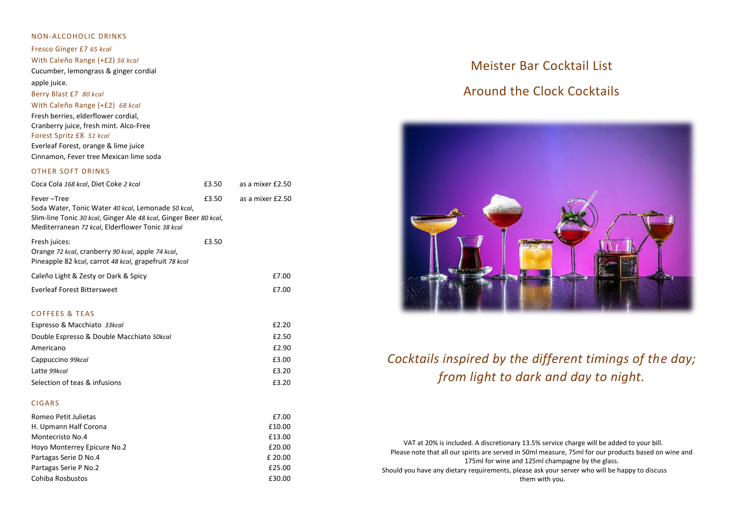# NON-ALCOHOLIC DRINKS Fresco Ginger £7 *65 kcal* With Caleño Range (+£2) *56 kcal* Cucumber, lemongrass & ginger cordial apple juice. Berry Blast £7 *80 kcal* With Caleño Range (+£2) *68 kcal*

Fresh berries, elderflower cordial, Cranberry juice, fresh mint. Alco-Free Forest Spritz £8 *51 kcal* Everleaf Forest, orange & lime juice Cinnamon, Fever tree Mexican lime soda

## OTHER SOFT DRINKS

| Coca Cola 168 kcal, Diet Coke 2 kcal                                                                                                                                                      | £3.50 | as a mixer £2.50 |
|-------------------------------------------------------------------------------------------------------------------------------------------------------------------------------------------|-------|------------------|
| Fever-Tree<br>Soda Water, Tonic Water 40 kcal, Lemonade 50 kcal,<br>Slim-line Tonic 30 kcal, Ginger Ale 48 kcal, Ginger Beer 80 kcal,<br>Mediterranean 72 kcal, Elderflower Tonic 38 kcal | £3.50 | as a mixer £2.50 |
| Fresh juices:<br>Orange 72 kcal, cranberry 90 kcal, apple 74 kcal,<br>Pineapple 82 kcal, carrot 48 kcal, grapefruit 78 kcal                                                               | £3.50 |                  |
| Caleño Light & Zesty or Dark & Spicy                                                                                                                                                      |       | £7.00            |
| Everleaf Forest Bittersweet                                                                                                                                                               |       | £7.00            |

## COFFEES & TEAS

| Espresso & Macchiato 33kcal               | £2.20 |
|-------------------------------------------|-------|
| Double Espresso & Double Macchiato 50kcal | £2.50 |
| Americano                                 | £2.90 |
| Cappuccino 99kcal                         | £3.00 |
| Latte 99kcal                              | £3.20 |
| Selection of teas & infusions             | £3.20 |

## CIGARS

| Romeo Petit Julietas        | £7.00   |
|-----------------------------|---------|
| H. Upmann Half Corona       | £10.00  |
| Montecristo No.4            | £13.00  |
| Hoyo Monterrey Epicure No.2 | £20.00  |
| Partagas Serie D No.4       | £ 20.00 |
| Partagas Serie P No.2       | £25.00  |
| Cohiba Rosbustos            | £30.00  |

# Meister Bar Cocktail List

# Around the Clock Cocktails



# *Cocktails inspired by the different timings of the day; from light to dark and day to night.*

 VAT at 20% is included. A discretionary 13.5% service charge will be added to your bill. Please note that all our spirits are served in 50ml measure, 75ml for our products based on wine and 175ml for wine and 125ml champagne by the glass. Should you have any dietary requirements, please ask your server who will be happy to discuss them with you.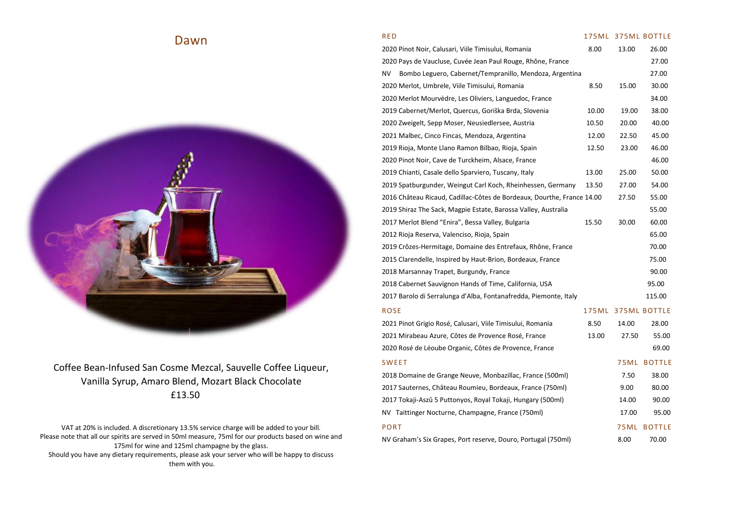# Dawn

# Coffee Bean-Infused San Cosme Mezcal, Sauvelle Coffee Liqueur, Vanilla Syrup, Amaro Blend, Mozart Black Chocolate £13.50

VAT at 20% is included. A discretionary 13.5% service charge will be added to your bill. Please note that all our spirits are served in 50ml measure, 75ml for our products based on wine and 175ml for wine and 125ml champagne by the glass. Should you have any dietary requirements, please ask your server who will be happy to discuss them with you.

# RED 275ML 375ML BOTTLE 2020 Pinot Noir, Calusari, Viile Timisului, Romania 8.00 13.00 26.00 2020 Pays de Vaucluse, Cuvée Jean Paul Rouge, Rhône, France 27.00 NV Bombo Leguero, Cabernet/Tempranillo, Mendoza, Argentina 27.00 2020 Merlot, Umbrele, Viile Timisului, Romania 8.50 15.00 30.00 2020 Merlot Mourvèdre, Les Oliviers, Languedoc, France 34.00 2019 Cabernet/Merlot, Quercus, Goriška Brda, Slovenia 10.00 19.00 38.00 2020 Zweigelt, Sepp Moser, Neusiedlersee, Austria 10.50 20.00 40.00 2021 Malbec, Cinco Fincas, Mendoza, Argentina 12.00 22.50 45.00 2019 Rioja, Monte Llano Ramon Bilbao, Rioja, Spain 12.50 23.00 46.00 2020 Pinot Noir, Cave de Turckheim, Alsace, France 46.00 2019 Chianti, Casale dello Sparviero, Tuscany, Italy 13.00 25.00 50.00 2019 Spatburgunder, Weingut Carl Koch, Rheinhessen, Germany 13.50 27.00 54.00

2016 Château Ricaud, Cadillac-Côtes de Bordeaux, Dourthe, France 14.00 27.50 55.00

| 2019 Shiraz The Sack, Magpie Estate, Barossa Valley, Australia   |         |        | 55.00               |
|------------------------------------------------------------------|---------|--------|---------------------|
| 2017 Merlot Blend "Enira", Bessa Valley, Bulgaria                | 15.50   | 30.00  | 60.00               |
| 2012 Rioja Reserva, Valenciso, Rioja, Spain                      |         |        | 65.00               |
| 2019 Crôzes-Hermitage, Domaine des Entrefaux, Rhône, France      |         |        | 70.00               |
| 2015 Clarendelle, Inspired by Haut-Brion, Bordeaux, France       |         |        | 75.00               |
| 2018 Marsannay Trapet, Burgundy, France                          |         |        | 90.00               |
| 2018 Cabernet Sauvignon Hands of Time, California, USA           |         |        | 95.00               |
| 2017 Barolo di Serralunga d'Alba, Fontanafredda, Piemonte, Italy |         |        | 115.00              |
| <b>ROSE</b>                                                      | 175 M L |        | <b>375ML BOTTLE</b> |
| 2021 Pinot Grigio Rosé, Calusari, Viile Timisului, Romania       | 8.50    | 14.00  | 28.00               |
| 2021 Mirabeau Azure, Côtes de Provence Rosé, France              | 13.00   | 27.50  | 55.00               |
| 2020 Rosé de Léoube Organic, Côtes de Provence, France           |         |        | 69.00               |
| <b>SWEET</b>                                                     |         | 75ML   | <b>BOTTLE</b>       |
| 2018 Domaine de Grange Neuve, Monbazillac, France (500ml)        |         | 7.50   | 38.00               |
| 2017 Sauternes, Château Roumieu, Bordeaux, France (750ml)        |         | 9.00   | 80.00               |
| 2017 Tokaji-Aszû 5 Puttonyos, Royal Tokaji, Hungary (500ml)      |         | 14.00  | 90.00               |
| NV Taittinger Nocturne, Champagne, France (750ml)                |         | 17.00  | 95.00               |
| <b>PORT</b>                                                      |         | 75 M L | <b>BOTTLE</b>       |
| NV Graham's Six Grapes, Port reserve, Douro, Portugal (750ml)    |         | 8.00   | 70.00               |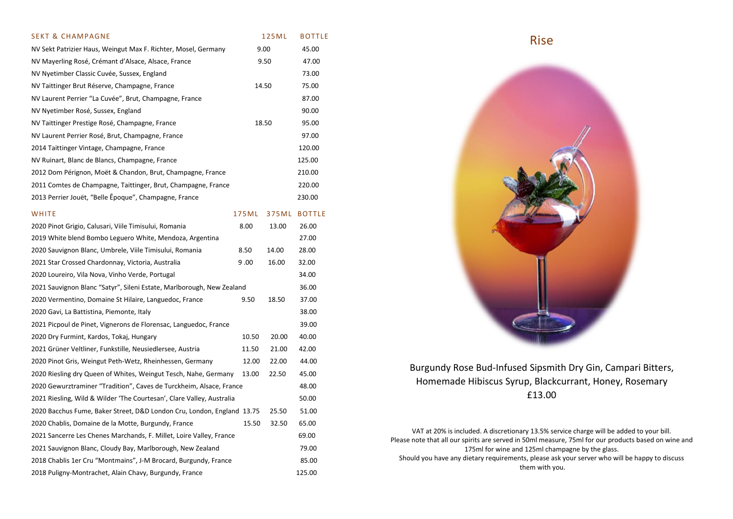| <b>SEKT &amp; CHAMPAGNE</b>                                            |       | 125ML | <b>BOTTLE</b> |
|------------------------------------------------------------------------|-------|-------|---------------|
| NV Sekt Patrizier Haus, Weingut Max F. Richter, Mosel, Germany         |       | 9.00  | 45.00         |
| NV Mayerling Rosé, Crémant d'Alsace, Alsace, France                    |       | 9.50  | 47.00         |
| NV Nyetimber Classic Cuvée, Sussex, England                            |       |       | 73.00         |
| NV Taittinger Brut Réserve, Champagne, France                          |       | 14.50 | 75.00         |
| NV Laurent Perrier "La Cuvée", Brut, Champagne, France                 |       |       | 87.00         |
| NV Nyetimber Rosé, Sussex, England                                     |       |       | 90.00         |
| NV Taittinger Prestige Rosé, Champagne, France                         |       | 18.50 | 95.00         |
| NV Laurent Perrier Rosé, Brut, Champagne, France                       |       |       | 97.00         |
| 2014 Taittinger Vintage, Champagne, France                             |       |       | 120.00        |
| NV Ruinart, Blanc de Blancs, Champagne, France                         |       |       | 125.00        |
| 2012 Dom Pérignon, Moët & Chandon, Brut, Champagne, France             |       |       | 210.00        |
| 2011 Comtes de Champagne, Taittinger, Brut, Champagne, France          |       |       | 220.00        |
| 2013 Perrier Jouët, "Belle Epoque", Champagne, France                  |       |       | 230.00        |
| WHITE                                                                  | 175ML |       | 375ML BOTTLE  |
| 2020 Pinot Grigio, Calusari, Viile Timisului, Romania                  | 8.00  | 13.00 | 26.00         |
| 2019 White blend Bombo Leguero White, Mendoza, Argentina               |       |       | 27.00         |
| 2020 Sauvignon Blanc, Umbrele, Viile Timisului, Romania                | 8.50  | 14.00 | 28.00         |
| 2021 Star Crossed Chardonnay, Victoria, Australia                      | 9.00  | 16.00 | 32.00         |
| 2020 Loureiro, Vila Nova, Vinho Verde, Portugal                        |       |       | 34.00         |
| 2021 Sauvignon Blanc "Satyr", Sileni Estate, Marlborough, New Zealand  |       |       | 36.00         |
| 2020 Vermentino, Domaine St Hilaire, Languedoc, France                 | 9.50  | 18.50 | 37.00         |
| 2020 Gavi, La Battistina, Piemonte, Italy                              |       |       | 38.00         |
| 2021 Picpoul de Pinet, Vignerons de Florensac, Languedoc, France       |       |       | 39.00         |
| 2020 Dry Furmint, Kardos, Tokaj, Hungary                               | 10.50 | 20.00 | 40.00         |
| 2021 Grüner Veltliner, Funkstille, Neusiedlersee, Austria              | 11.50 | 21.00 | 42.00         |
| 2020 Pinot Gris, Weingut Peth-Wetz, Rheinhessen, Germany               | 12.00 | 22.00 | 44.00         |
| 2020 Riesling dry Queen of Whites, Weingut Tesch, Nahe, Germany        | 13.00 | 22.50 | 45.00         |
| 2020 Gewurztraminer "Tradition", Caves de Turckheim, Alsace, France    |       |       | 48.00         |
| 2021 Riesling, Wild & Wilder 'The Courtesan', Clare Valley, Australia  |       |       | 50.00         |
| 2020 Bacchus Fume, Baker Street, D&D London Cru, London, England 13.75 |       | 25.50 | 51.00         |
| 2020 Chablis, Domaine de la Motte, Burgundy, France                    | 15.50 | 32.50 | 65.00         |
| 2021 Sancerre Les Chenes Marchands, F. Millet, Loire Valley, France    |       |       | 69.00         |
| 2021 Sauvignon Blanc, Cloudy Bay, Marlborough, New Zealand             |       |       | 79.00         |
| 2018 Chablis 1er Cru "Montmains", J-M Brocard, Burgundy, France        |       |       | 85.00         |
| 2018 Puligny-Montrachet, Alain Chavy, Burgundy, France                 |       |       | 125.00        |

Rise



Burgundy Rose Bud-Infused Sipsmith Dry Gin, Campari Bitters, Homemade Hibiscus Syrup, Blackcurrant, Honey, Rosemary £13.00

VAT at 20% is included. A discretionary 13.5% service charge will be added to your bill. Please note that all our spirits are served in 50ml measure, 75ml for our products based on wine and 175ml for wine and 125ml champagne by the glass. Should you have any dietary requirements, please ask your server who will be happy to discuss them with you.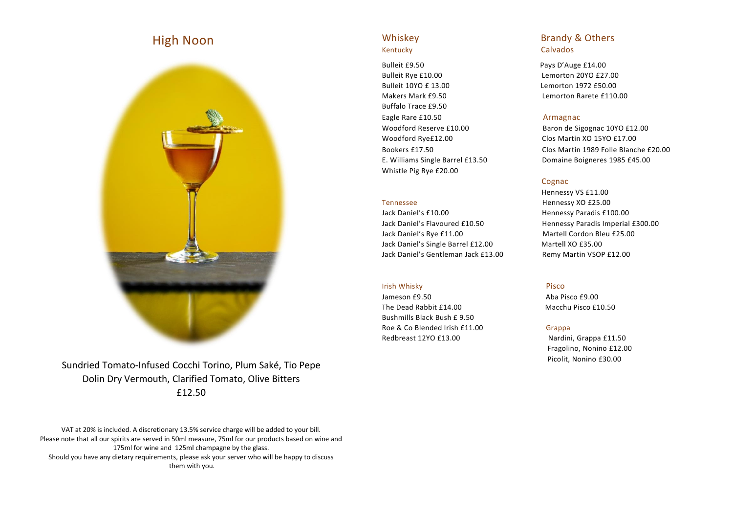# High Noon



Sundried Tomato-Infused Cocchi Torino, Plum Saké, Tio Pepe Dolin Dry Vermouth, Clarified Tomato, Olive Bitters £12.50

VAT at 20% is included. A discretionary 13.5% service charge will be added to your bill. Please note that all our spirits are served in 50ml measure, 75ml for our products based on wine and 175ml for wine and 125ml champagne by the glass. Should you have any dietary requirements, please ask your server who will be happy to discuss them with you.

Bulleit £9.50 Pays D'Auge £14.00 Bulleit Rye £10.00 Lemorton 20YO £27.00 Bulleit 10YO £ 13.00 Lemorton 1972 £50.00 Makers Mark £9.50 Lemorton Rarete £110.00 Buffalo Trace £9.50 Eagle Rare £10.50 **Armagnac** Woodford Rye£12.00 Clos Martin XO 15YO £17.00 Whistle Pig Rye £20.00

Jack Daniel's £10.00 Hennessy Paradis £100.00 Jack Daniel's Flavoured £10.50 Hennessy Paradis Imperial £300.00 Jack Daniel's Rye £11.00 Martell Cordon Bleu £25.00 Jack Daniel's Single Barrel £12.00 Martell XO £35.00 Jack Daniel's Gentleman Jack £13.00 Remy Martin VSOP £12.00

## **Irish Whisky** Pisco

Jameson £9.50 Aba Pisco £9.00 The Dead Rabbit £14.00 Macchu Pisco £10.50 Bushmills Black Bush £ 9.50 Roe & Co Blended Irish £11.00 Grappa Redbreast 12YO £13.00 Nardini, Grappa £11.50

# Whiskey **Brandy & Others** Kentucky Calvados

Woodford Reserve £10.00 Baron de Sigognac 10YO £12.00 Bookers £17.50 Clos Martin 1989 Folle Blanche £20.00 E. Williams Single Barrel £13.50 Domaine Boigneres 1985 £45.00

# **Cognac**

Hennessy VS £11.00 Tennessee Hennessy XO £25.00

 Fragolino, Nonino £12.00 Picolit, Nonino £30.00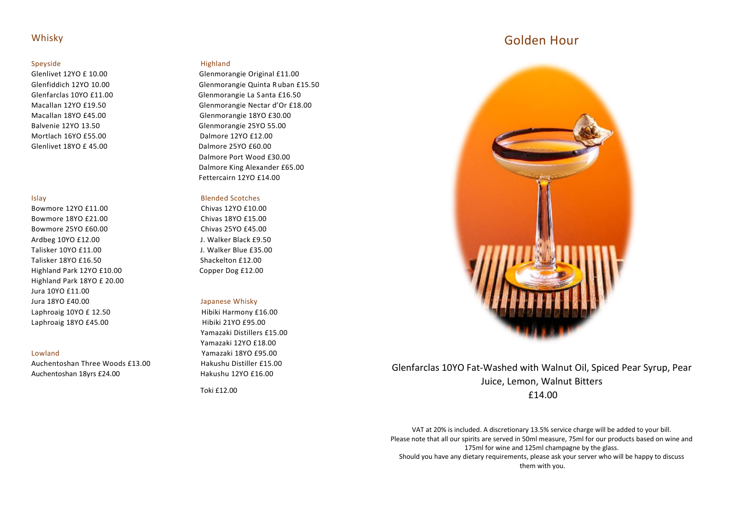# Whisky

# Speyside **Highland**

Mortlach 16YO £55.00 Dalmore 12YO £12.00 Glenlivet 18YO £ 45.00 Dalmore 25YO £60.00

Bowmore 12YO £11.00 Chivas 12YO £10.00 Bowmore 18YO £21.00 Chivas 18YO £15.00 Bowmore 25YO £60.00 Chivas 25YO £45.00 Ardbeg 10YO £12.00 J. Walker Black £9.50 Talisker 10YO £11.00 J. Walker Blue £35.00 Talisker 18YO £16.50 Shackelton £12.00 Highland Park 12YO £10.00 Copper Dog £12.00 Highland Park 18YO £ 20.00 Jura 10YO £11.00 Jura 18YO £40.00 Japanese Whisky Laphroaig 10YO £ 12.50 Hibiki Harmony £16.00 Laphroaig 18YO £45.00 Hibiki 21YO £95.00

Auchentoshan Three Woods £13.00 Hakushu Distiller £15.00 Auchentoshan 18yrs £24.00 Hakushu 12YO £16.00

Glenlivet 12YO £ 10.00 Glenmorangie Original £11.00 Glenfiddich 12YO 10.00 Glenmorangie Quinta R uban £15.50 Glenfarclas 10YO £11.00 Glenmorangie La S anta £16.50 Macallan 12YO £19.50 Glenmorangie Nectar d'Or £18.00 Macallan 18YO £45.00 Glenmorangie 18YO £30.00 Balvenie 12YO 13.50 Glenmorangie 25YO 55.00 Dalmore Port Wood £30.00 Dalmore King Alexander £65.00 Fettercairn 12YO £14.00

## Islay Blended Scotches

 Yamazaki Distillers £15.00 Yamazaki 12YO £18.00 Lowland Yamazaki 18YO £95.00

Toki £12.00

# Golden Hour



# Glenfarclas 10YO Fat-Washed with Walnut Oil, Spiced Pear Syrup, Pear Juice, Lemon, Walnut Bitters £14.00

VAT at 20% is included. A discretionary 13.5% service charge will be added to your bill. Please note that all our spirits are served in 50ml measure, 75ml for our products based on wine and 175ml for wine and 125ml champagne by the glass. Should you have any dietary requirements, please ask your server who will be happy to discuss them with you.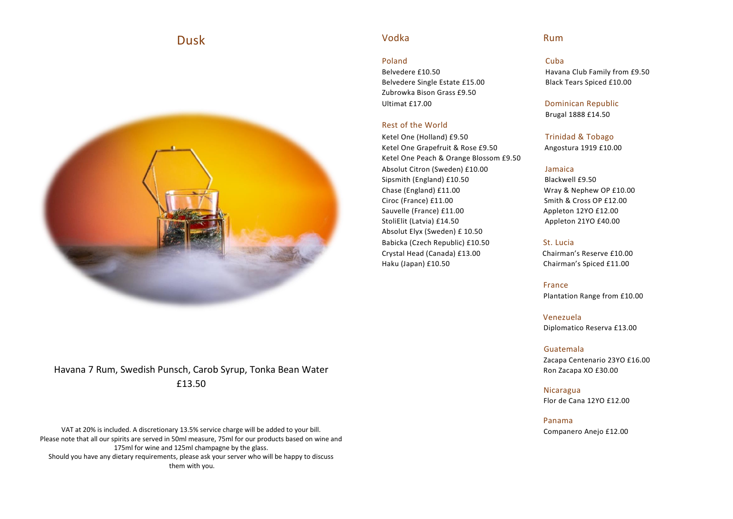# Dusk



# Havana 7 Rum, Swedish Punsch, Carob Syrup, Tonka Bean Water £13.50

VAT at 20% is included. A discretionary 13.5% service charge will be added to your bill. Please note that all our spirits are served in 50ml measure, 75ml for our products based on wine and 175ml for wine and 125ml champagne by the glass. Should you have any dietary requirements, please ask your server who will be happy to discuss them with you.

# Vodka Rum

# Poland Cuba

Belvedere Single Estate £15.00 Black Tears Spiced £10.00 Zubrowka Bison Grass £9.50 Ultimat £17.00 Dominican Republic

# Rest of the World

Ketel One (Holland) £9.50 Trinidad & Tobago Ketel One Grapefruit & Rose £9.50 Angostura 1919 £10.00 Ketel One Peach & Orange Blossom £9.50 Absolut Citron (Sweden) £10.00 Jamaica Sipsmith (England) £10.50 Blackwell £9.50 Chase (England) £11.00 Wray & Nephew OP £10.00 Ciroc (France) £11.00 Smith & Cross OP £12.00 Sauvelle (France) £11.00 Appleton 12YO £12.00 StoliElit (Latvia) £14.50 Appleton 21YO £40.00 Absolut Elyx (Sweden) £ 10.50 Babicka (Czech Republic) £10.50 St. Lucia Crystal Head (Canada) £13.00 Chairman's Reserve £10.00 Haku (Japan) £10.50 Chairman's Spiced £11.00

**France** (1999) (1999) (1999) (1999) (1999) (1999) (1999) (1999) (1999) (1999) (1999) (1999) (1999) (1999) (1999)

 Venezuela Diplomatico Reserva £13.00

## Guatemala

 Zacapa Centenario 23YO £16.00 Ron Zacapa XO £30.00

 Nicaragua Flor de Cana 12YO £12.00

 Panama Companero Anejo £12.00

Belvedere £10.50 Havana Club Family from £9.50

Brugal 1888 £14.50

Plantation Range from £10.00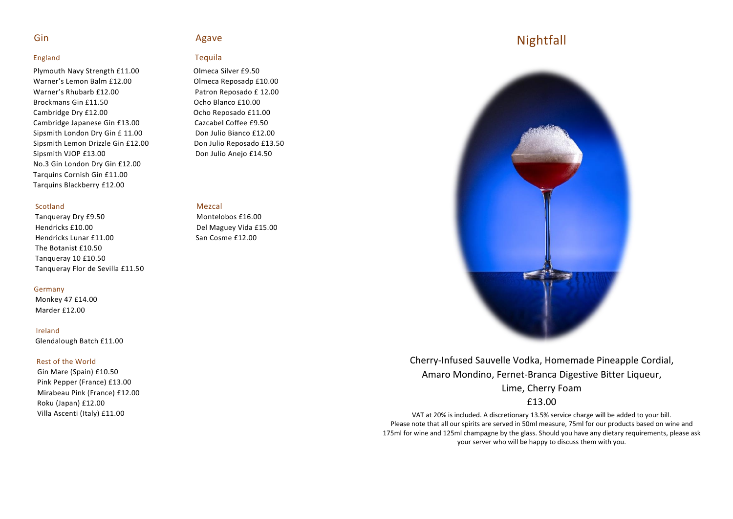# England Tequila

Plymouth Navy Strength £11.00 Olmeca Silver £9.50 Warner's Lemon Balm £12.00 Queen Comeca Reposadp £10.00 Warner's Rhubarb £12.00 Patron Reposado £ 12.00 Brockmans Gin £11.50 Concernsive Communication Communication Communication Communication Communication Communication Communication Communication Communication Communication Communication Communication Communication Communi Cambridge Dry £12.00 Ocho Reposado £11.00 Cambridge Japanese Gin £13.00 Cazcabel Coffee £9.50 Sipsmith London Dry Gin £ 11.00 Don Julio Bianco £12.00 Sipsmith Lemon Drizzle Gin £12.00 Don Julio Reposado £13.50 Sipsmith VJOP £13.00 Don Julio Anejo £14.50 No.3 Gin London Dry Gin £12.00 Tarquins Cornish Gin £11.00 Tarquins Blackberry £12.00

## Scotland Mezcal

Tanqueray Dry £9.50 Montelobos £16.00 Hendricks £10.00 Del Maguey Vida £15.00 Hendricks Lunar £11.00 San Cosme £12.00 The Botanist £10.50 Tanqueray 10 £10.50 Tanqueray Flor de Sevilla £11.50

## Germany

 Monkey 47 £14.00 Marder £12.00

## Ireland

Glendalough Batch £11.00

## Rest of the World

 Gin Mare (Spain) £10.50 Pink Pepper (France) £13.00 Mirabeau Pink (France) £12.00 Roku (Japan) £12.00 Villa Ascenti (Italy) £11.00

# Gin Agave

# Nightfall



Cherry-Infused Sauvelle Vodka, Homemade Pineapple Cordial, Amaro Mondino, Fernet-Branca Digestive Bitter Liqueur, Lime, Cherry Foam

# £13.00

VAT at 20% is included. A discretionary 13.5% service charge will be added to your bill. Please note that all our spirits are served in 50ml measure, 75ml for our products based on wine and 175ml for wine and 125ml champagne by the glass. Should you have any dietary requirements, please ask your server who will be happy to discuss them with you.